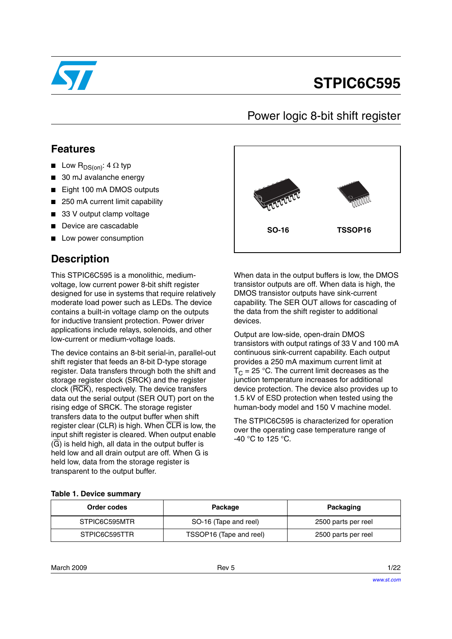

# **STPIC6C595**

## Power logic 8-bit shift register

### **Features**

- **■** Low  $R_{DS(on)}$ : 4  $\Omega$  typ
- 30 mJ avalanche energy
- Eight 100 mA DMOS outputs
- 250 mA current limit capability
- 33 V output clamp voltage
- Device are cascadable
- Low power consumption

## **Description**

This STPIC6C595 is a monolithic, mediumvoltage, low current power 8-bit shift register designed for use in systems that require relatively moderate load power such as LEDs. The device contains a built-in voltage clamp on the outputs for inductive transient protection. Power driver applications include relays, solenoids, and other low-current or medium-voltage loads.

The device contains an 8-bit serial-in, parallel-out shift register that feeds an 8-bit D-type storage register. Data transfers through both the shift and storage register clock (SRCK) and the register clock (RCK), respectively. The device transfers data out the serial output (SER OUT) port on the rising edge of SRCK. The storage register transfers data to the output buffer when shift register clear (CLR) is high. When CLR is low, the input shift register is cleared. When output enable  $(\overline{G})$  is held high, all data in the output buffer is held low and all drain output are off. When G is held low, data from the storage register is transparent to the output buffer.



When data in the output buffers is low, the DMOS transistor outputs are off. When data is high, the DMOS transistor outputs have sink-current capability. The SER OUT allows for cascading of the data from the shift register to additional devices.

Output are low-side, open-drain DMOS transistors with output ratings of 33 V and 100 mA continuous sink-current capability. Each output provides a 250 mA maximum current limit at  $T_C = 25$  °C. The current limit decreases as the junction temperature increases for additional device protection. The device also provides up to 1.5 kV of ESD protection when tested using the human-body model and 150 V machine model.

The STPIC6C595 is characterized for operation over the operating case temperature range of -40 °C to 125 °C.

### **Table 1. Device summary**

| Order codes   | Package                 | Packaging           |  |
|---------------|-------------------------|---------------------|--|
| STPIC6C595MTR | SO-16 (Tape and reel)   | 2500 parts per reel |  |
| STPIC6C595TTR | TSSOP16 (Tape and reel) | 2500 parts per reel |  |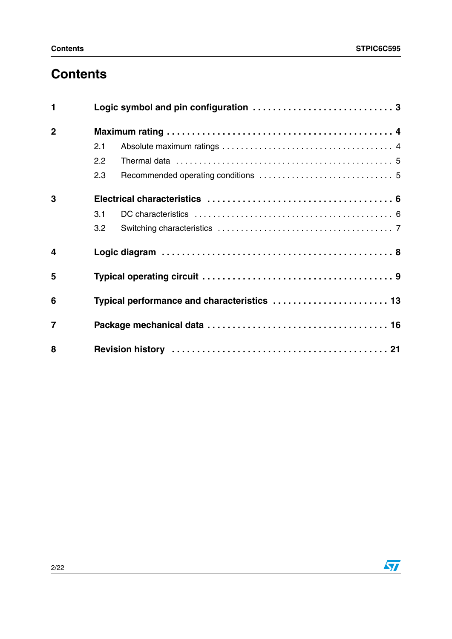# **Contents**

| 1                       |     |                                             |
|-------------------------|-----|---------------------------------------------|
| $\overline{2}$          |     |                                             |
|                         | 2.1 |                                             |
|                         | 2.2 |                                             |
|                         | 2.3 |                                             |
| 3                       |     |                                             |
|                         | 3.1 |                                             |
|                         | 3.2 |                                             |
| $\overline{\mathbf{4}}$ |     |                                             |
| 5                       |     |                                             |
| 6                       |     | Typical performance and characteristics  13 |
| $\overline{7}$          |     |                                             |
| 8                       |     |                                             |

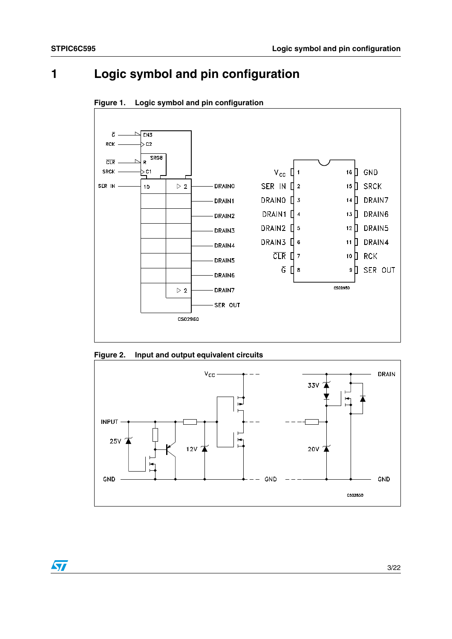# <span id="page-2-0"></span>**1 Logic symbol and pin configuration**





**Figure 2. Input and output equivalent circuits** 



 $\sqrt{2}$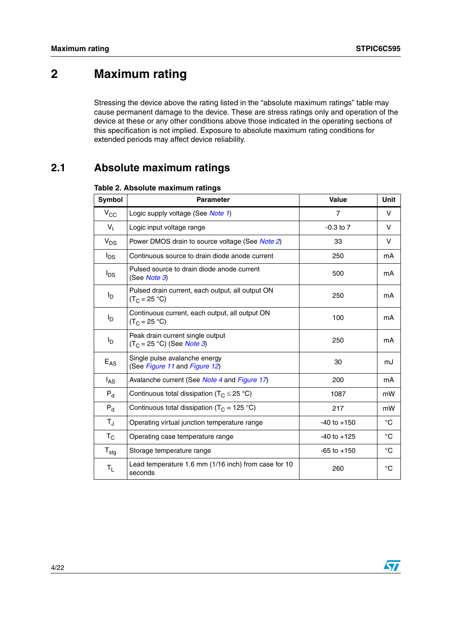# <span id="page-3-0"></span>**2 Maximum rating**

Stressing the device above the rating listed in the "absolute maximum ratings" table may cause permanent damage to the device. These are stress ratings only and operation of the device at these or any other conditions above those indicated in the operating sections of this specification is not implied. Exposure to absolute maximum rating conditions for extended periods may affect device reliability.

## <span id="page-3-1"></span>**2.1 Absolute maximum ratings**

| Symbol           | <b>Parameter</b>                                                         | <b>Value</b>    | Unit        |
|------------------|--------------------------------------------------------------------------|-----------------|-------------|
| $V_{\rm CC}$     | Logic supply voltage (See Note 1)                                        | $\overline{7}$  | V           |
| $V_{\parallel}$  | Logic input voltage range                                                | $-0.3$ to $7$   | v           |
| $V_{DS}$         | Power DMOS drain to source voltage (See Note 2)                          | 33              | v           |
| $I_{DS}$         | Continuous source to drain diode anode current                           | 250             | mA          |
| <sup>I</sup> DS  | Pulsed source to drain diode anode current<br>(See Note 3)               | 500             | mA          |
| $I_{\mathsf{D}}$ | Pulsed drain current, each output, all output ON<br>$(T_C = 25 °C)$      | 250             | mA          |
| $I_{\mathsf{D}}$ | Continuous current, each output, all output ON<br>$(T_C = 25 °C)$        | 100             | mA          |
| $I_D$            | Peak drain current single output<br>$(T_C = 25 °C)$ (See <i>Note 3</i> ) | 250             | mA          |
| $E_{AS}$         | Single pulse avalanche energy<br>(See Figure 11 and Figure 12)           | 30              | mJ          |
| $I_{AS}$         | Avalanche current (See Note 4 and Figure 17)                             | 200             | mA          |
| $P_{d}$          | Continuous total dissipation ( $T_c \leq 25$ °C)                         | 1087            | mW          |
| $P_{d}$          | Continuous total dissipation ( $T_c$ = 125 °C)                           | 217             | mW          |
| $T_{\rm J}$      | Operating virtual junction temperature range                             | $-40$ to $+150$ | $^{\circ}C$ |
| $T_{\rm C}$      | Operating case temperature range                                         | $-40$ to $+125$ | $^{\circ}C$ |
| $T_{\text{stg}}$ | Storage temperature range                                                | $-65$ to $+150$ | $^{\circ}C$ |
| $T_{L}$          | Lead temperature 1.6 mm (1/16 inch) from case for 10<br>seconds          | 260             | $^{\circ}C$ |

### **Table 2. Absolute maximum ratings**

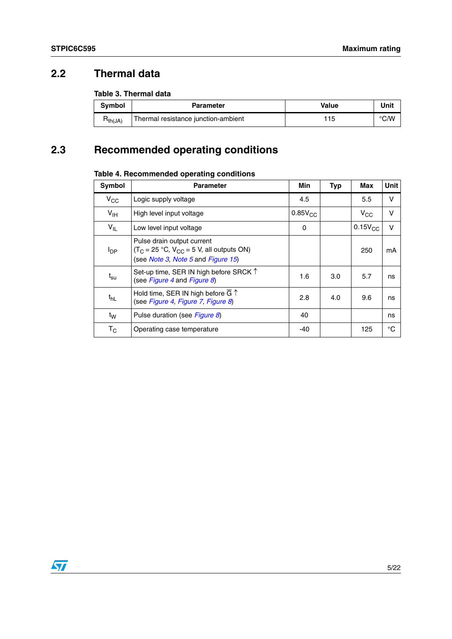## <span id="page-4-0"></span>**2.2 Thermal data**

### **Table 3. Thermal data**

| <b>Symbol</b>       | <b>Parameter</b>                    | Value | Unit |
|---------------------|-------------------------------------|-------|------|
| H <sub>th(JA)</sub> | Thermal resistance junction-ambient | ' 15  | °C/W |

# <span id="page-4-1"></span>**2.3 Recommended operating conditions**

### <span id="page-4-2"></span>**Table 4. Recommended operating conditions**

| <b>Symbol</b>             | <b>Parameter</b>                                                                                                  | Min          | <b>Typ</b> | <b>Max</b>   | <b>Unit</b> |
|---------------------------|-------------------------------------------------------------------------------------------------------------------|--------------|------------|--------------|-------------|
| $V_{CC}$                  | Logic supply voltage                                                                                              | 4.5          |            | 5.5          | v           |
| $V_{\text{IH}}$           | High level input voltage                                                                                          | $0.85V_{CC}$ |            | $V_{\rm CC}$ | v           |
| $V_{IL}$                  | Low level input voltage                                                                                           | 0            |            | $0.15V_{CC}$ | $\vee$      |
| $I_{\text{DP}}$           | Pulse drain output current<br>$(T_C = 25 °C, V_{CC} = 5 V,$ all outputs ON)<br>(see Note 3, Note 5 and Figure 15) |              |            | 250          | mA          |
| $t_{\textsf{su}}$         | Set-up time, SER IN high before SRCK 1<br>(see Figure 4 and Figure 8)                                             | 1.6          | 3.0        | 5.7          | ns          |
| t <sub>hL</sub>           | Hold time, SER IN high before $\overline{G}$ $\uparrow$<br>(see Figure 4, Figure 7, Figure 8)                     | 2.8          | 4.0        | 9.6          | ns          |
| t <sub>W</sub>            | Pulse duration (see Figure 8)                                                                                     | 40           |            |              | ns          |
| $\mathsf{T}_{\mathsf{C}}$ | Operating case temperature                                                                                        | -40          |            | 125          | °C          |

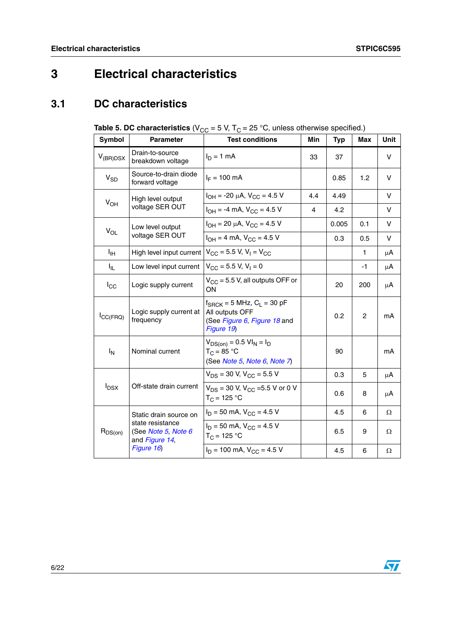# <span id="page-5-0"></span>**3 Electrical characteristics**

## <span id="page-5-1"></span>**3.1 DC characteristics**

<span id="page-5-2"></span>

| <b>Table 5. DC characteristics</b> ( $V_{CC}$ = 5 V, T <sub>C</sub> = 25 °C, unless otherwise specified.) |
|-----------------------------------------------------------------------------------------------------------|
|-----------------------------------------------------------------------------------------------------------|

| Symbol                      | <b>Parameter</b>                                          | <b>Test conditions</b>                                                                                    | Min | <b>Typ</b> | Max | Unit   |
|-----------------------------|-----------------------------------------------------------|-----------------------------------------------------------------------------------------------------------|-----|------------|-----|--------|
| $V_{(BR)DSX}$               | Drain-to-source<br>breakdown voltage                      | $I_D = 1$ mA                                                                                              | 33  | 37         |     | v      |
| $V_{SD}$                    | Source-to-drain diode<br>forward voltage                  | $I_F = 100 \text{ mA}$                                                                                    |     | 0.85       | 1.2 | $\vee$ |
| $V_{OH}$                    | High level output                                         | $I_{OH}$ = -20 µA, $V_{CC}$ = 4.5 V                                                                       | 4.4 | 4.49       |     | $\vee$ |
|                             | voltage SER OUT                                           | $I_{OH} = -4$ mA, $V_{CC} = 4.5$ V                                                                        | 4   | 4.2        |     | V      |
| $V_{OL}$                    | Low level output                                          | $I_{OH}$ = 20 µA, $V_{CC}$ = 4.5 V                                                                        |     | 0.005      | 0.1 | v      |
|                             | voltage SER OUT                                           | $I_{OH} = 4$ mA, $V_{CC} = 4.5$ V                                                                         |     | 0.3        | 0.5 | V      |
| ŀщ                          | High level input current                                  | $V_{\rm CC}$ = 5.5 V, V <sub>1</sub> = V <sub>CC</sub>                                                    |     |            | 1   | μA     |
| Ι'n.                        | Low level input current                                   | $V_{CC}$ = 5.5 V, V <sub>1</sub> = 0                                                                      |     |            | -1  | μA     |
| $I_{\rm CC}$                | Logic supply current                                      | $V_{CC}$ = 5.5 V, all outputs OFF or<br>ON                                                                |     | 20         | 200 | μA     |
| $I_{\text{CC}(\text{FRQ})}$ | Logic supply current at<br>frequency                      | $f_{\text{SRCK}} = 5$ MHz, $C_L = 30$ pF<br>All outputs OFF<br>(See Figure 6, Figure 18 and<br>Figure 19) |     |            | 2   | mA     |
| $I_N$                       | Nominal current                                           | $V_{DS(on)} = 0.5 \text{ VI}_N = I_D$<br>$T_C = 85 °C$<br>(See Note 5, Note 6, Note 7)                    |     | 90         |     | mA     |
|                             |                                                           | $V_{DS}$ = 30 V, $V_{CC}$ = 5.5 V                                                                         |     | 0.3        | 5   | μA     |
| $I_{DSX}$                   | Off-state drain current                                   | $V_{DS}$ = 30 V, V <sub>CC</sub> = 5.5 V or 0 V<br>$T_C = 125 °C$                                         |     | 0.6        | 8   | μA     |
|                             | Static drain source on                                    | $I_D = 50$ mA, $V_{CC} = 4.5$ V                                                                           |     | 4.5        | 6   | Ω      |
| $R_{DS(on)}$                | state resistance<br>(See Note 5, Note 6<br>and Figure 14, | $I_D = 50$ mA, $V_{CC} = 4.5$ V<br>$T_{C}$ = 125 °C                                                       |     | 6.5        | 9   | Ω      |
|                             | Figure 16)                                                | $I_D = 100$ mA, $V_{CC} = 4.5$ V                                                                          |     | 4.5        | 6   | Ω      |

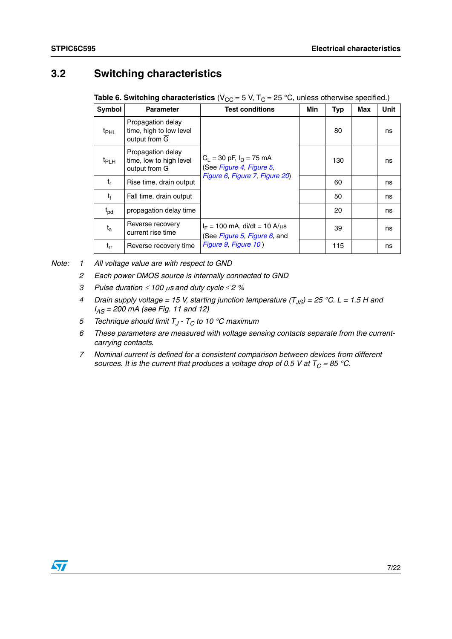### <span id="page-6-0"></span>**3.2 Switching characteristics**

**Table 6. Switching characteristics** (V<sub>CC</sub> = 5 V, T<sub>C</sub> = 25 °C, unless otherwise specified.)

| Symbol        | <b>Parameter</b>                                                           | <b>Test conditions</b>                                                                     | <b>Min</b> | <b>Typ</b> | Max | Unit |
|---------------|----------------------------------------------------------------------------|--------------------------------------------------------------------------------------------|------------|------------|-----|------|
| $t_{\rm PHL}$ | Propagation delay<br>time, high to low level<br>output from $\overline{G}$ |                                                                                            |            | 80         |     | ns   |
| $t_{PLH}$     | Propagation delay<br>time, low to high level<br>output from $\overline{G}$ | $C_1 = 30$ pF, $I_D = 75$ mA<br>(See Figure 4, Figure 5,<br>Figure 6, Figure 7, Figure 20) |            | 130        |     | ns   |
| t,            | Rise time, drain output                                                    |                                                                                            |            | 60         |     | ns   |
| t             | Fall time, drain output                                                    |                                                                                            |            | 50         |     | ns   |
| $t_{pd}$      | propagation delay time                                                     |                                                                                            |            | 20         |     | ns   |
| $t_{a}$       | Reverse recovery<br>current rise time                                      | $I_F = 100$ mA, di/dt = 10 A/ $\mu$ s<br>(See Figure 5, Figure 6, and                      |            | 39         |     | ns   |
| $t_{rr}$      | Reverse recovery time                                                      | Figure 9, Figure 10)                                                                       |            | 115        |     | ns   |

<span id="page-6-3"></span><span id="page-6-2"></span><span id="page-6-1"></span>*Note: 1 All voltage value are with respect to GND*

- *2 Each power DMOS source is internally connected to GND*
- *3 Pulse duration* ≤ *100* μ*s and duty cycle* <sup>≤</sup>*2 %*
- <span id="page-6-4"></span>*4* Drain supply voltage = 15 V, starting junction temperature (T<sub>JS</sub>) = 25 °C. L = 1.5 H and *IAS = 200 mA (see Fig. 11 and 12)*
- <span id="page-6-5"></span>*5 Technique should limit T<sub>J</sub> - T<sub>C</sub> to 10 °C maximum*
- <span id="page-6-6"></span>*6 These parameters are measured with voltage sensing contacts separate from the currentcarrying contacts.*
- <span id="page-6-7"></span>*7 Nominal current is defined for a consistent comparison between devices from different sources. It is the current that produces a voltage drop of 0.5 V at*  $T_C = 85 \degree C$ *.*

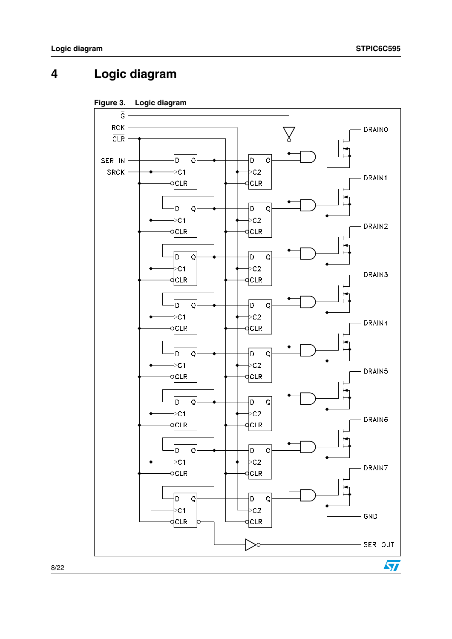# <span id="page-7-0"></span>**4 Logic diagram**

<span id="page-7-1"></span>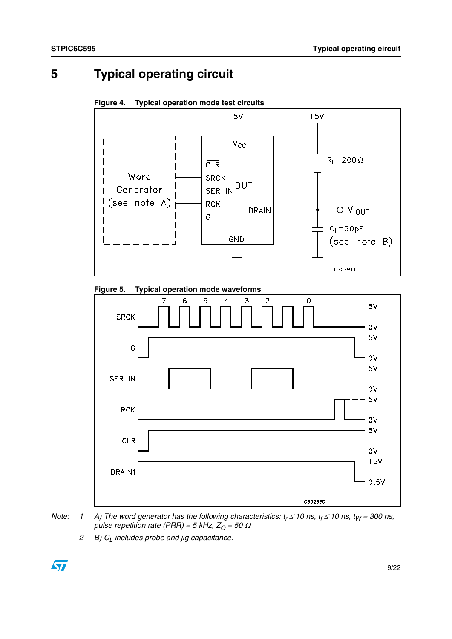## <span id="page-8-0"></span>**5 Typical operating circuit**

<span id="page-8-1"></span>**Figure 4. Typical operation mode test circuits** 



<span id="page-8-2"></span>



- *Note:* 1 A) The word generator has the following characteristics:  $t_r \le 10$  ns,  $t_f \le 10$  ns,  $t_W = 300$  ns, *pulse repetition rate (PRR) = 5 kHz,*  $Z_0$  *= 50*  $\Omega$ 
	- *2 B*)  $C<sub>l</sub>$  includes probe and jig capacitance.

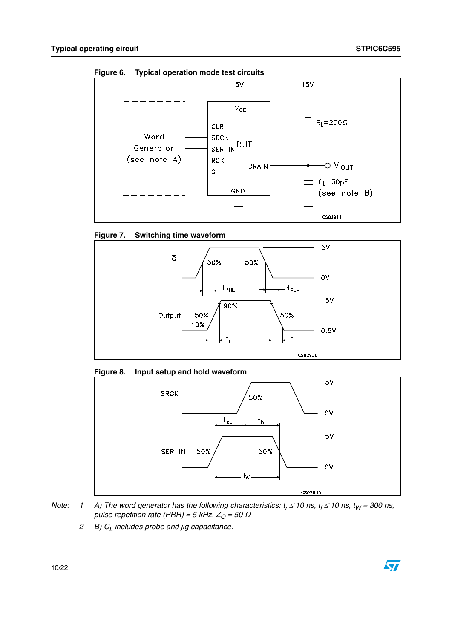ST

<span id="page-9-2"></span>**Figure 6. Typical operation mode test circuits** 



<span id="page-9-1"></span>



<span id="page-9-0"></span>



*Note:* 1 A) The word generator has the following characteristics:  $t_r \le 10$  ns,  $t_f \le 10$  ns,  $t_W = 300$  ns, *pulse repetition rate (PRR) = 5 kHz,*  $Z_0 = 50 \Omega$ 

*2 B) CL includes probe and jig capacitance.*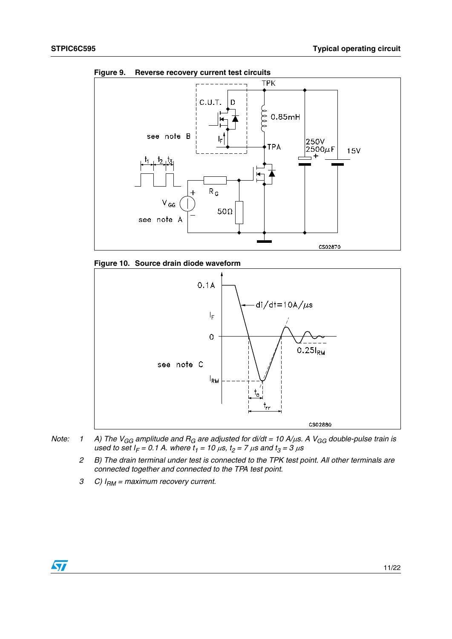

<span id="page-10-0"></span>**Figure 9. Reverse recovery current test circuits** 

<span id="page-10-1"></span>



- *Note:* 1 A) The V<sub>GG</sub> amplitude and R<sub>G</sub> are adjusted for di/dt = 10 A/μs. A V<sub>GG</sub> double-pulse train is  $u$ sed to set  $I_F = 0.1$  A. where  $t_1 = 10 \mu s$ ,  $t_2 = 7 \mu s$  and  $t_3 = 3 \mu s$ 
	- *2 B) The drain terminal under test is connected to the TPK test point. All other terminals are connected together and connected to the TPA test point.*
	- *3 C) IRM = maximum recovery current.*

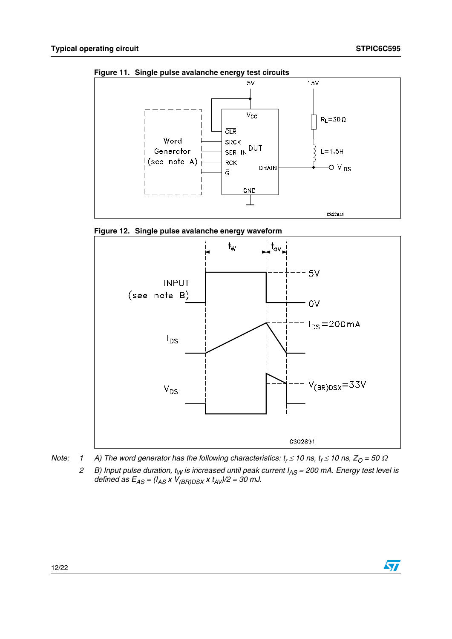$\sqrt{2}$ 



<span id="page-11-0"></span>**Figure 11. Single pulse avalanche energy test circuits** 

<span id="page-11-1"></span>



- *Note:* 1 A) The word generator has the following characteristics:  $t_r \le 10$  ns,  $t_f \le 10$  ns,  $Z_O = 50 \Omega$ 
	- *2 B) Input pulse duration, tW is increased until peak current IAS = 200 mA. Energy test level is defined as EAS = (IAS x V(BR)DSX x tAV)/2 = 30 mJ.*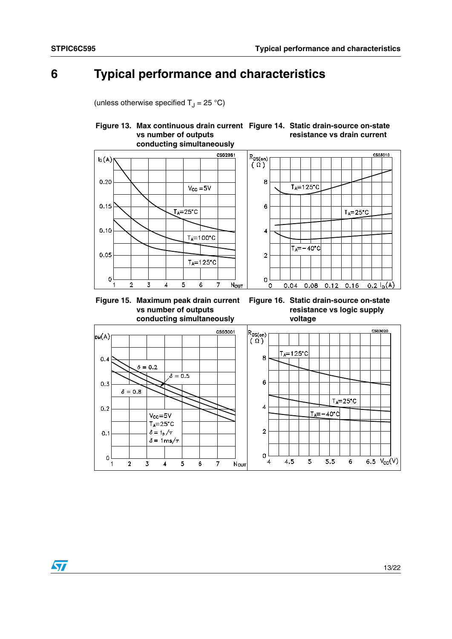$\sqrt{2}$ 

# <span id="page-12-0"></span>**6 Typical performance and characteristics**

(unless otherwise specified  $T_J = 25 \degree C$ )

#### <span id="page-12-2"></span>**Figure 13. Max continuous drain current Figure 14. Static drain-source on-state vs number of outputs conducting simultaneously resistance vs drain current**



<span id="page-12-1"></span>

### <span id="page-12-3"></span>**Figure 16. Static drain-source on-state resistance vs logic supply voltage**

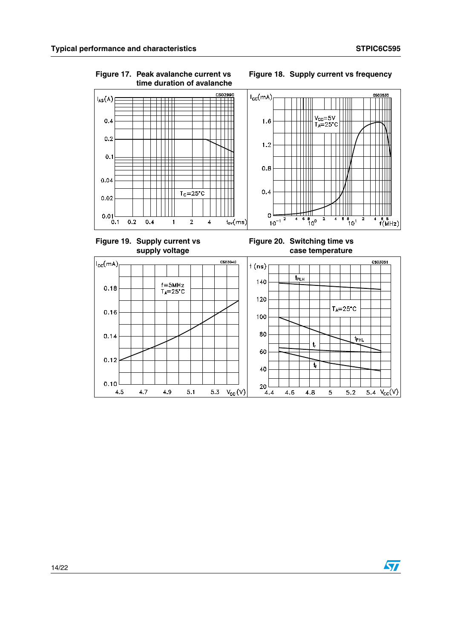<span id="page-13-2"></span> $4.5$ 

 $4.7$ 

4.9

 $5.1$ 

 $5.3$ 

 $V_{\text{cc}}(V)$ 

<span id="page-13-3"></span> $4.4$ 

4.6

4.8

 $\overline{\mathbf{5}}$ 

 $5.2$ 

5.4  $V_{CC}(V)$ 

 $\sqrt{3}$ 



<span id="page-13-0"></span>**Figure 17. Peak avalanche current vs** 

<span id="page-13-1"></span>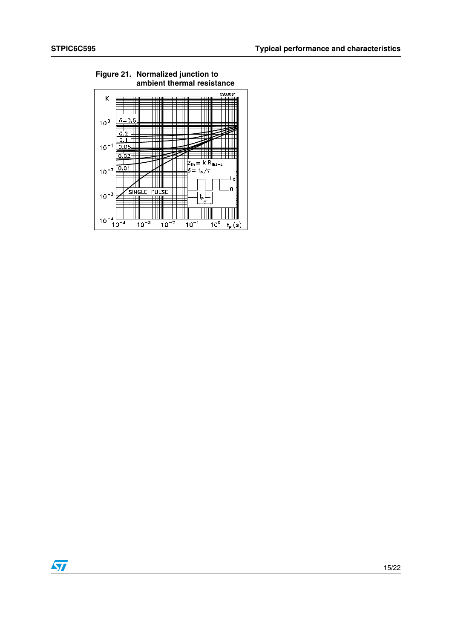

# **Figure 21. Normalized junction to**

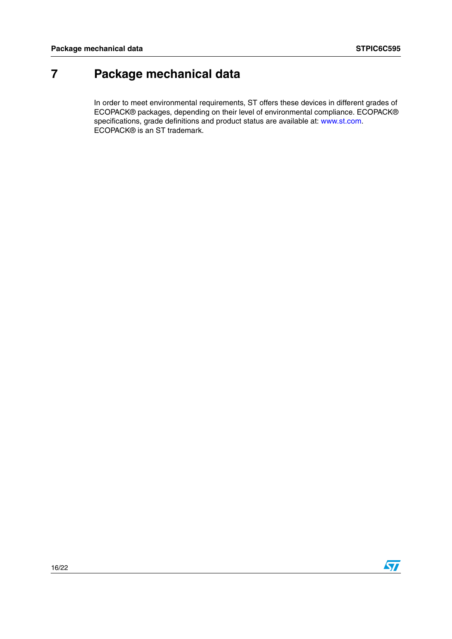# <span id="page-15-0"></span>**7 Package mechanical data**

In order to meet environmental requirements, ST offers these devices in different grades of ECOPACK® packages, depending on their level of environmental compliance. ECOPACK® specifications, grade definitions and product status are available at: www.st.com. ECOPACK® is an ST trademark.

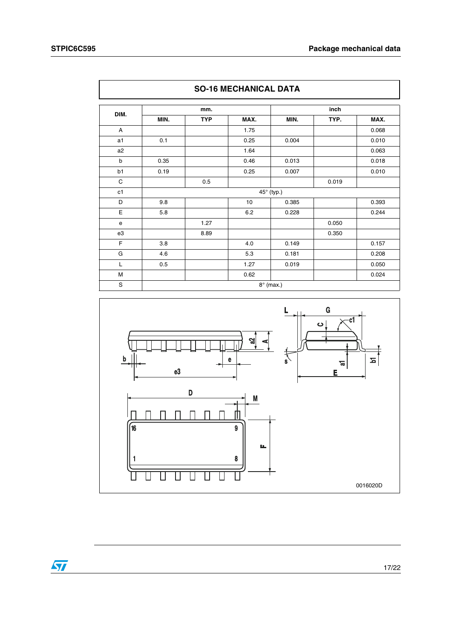|             |      | mm.        |      | inch       |       |       |
|-------------|------|------------|------|------------|-------|-------|
| DIM.        | MIN. | <b>TYP</b> | MAX. | MIN.       | TYP.  | MAX.  |
| A           |      |            | 1.75 |            |       | 0.068 |
| a1          | 0.1  |            | 0.25 | 0.004      |       | 0.010 |
| a2          |      |            | 1.64 |            |       | 0.063 |
| $\mathsf b$ | 0.35 |            | 0.46 | 0.013      |       | 0.018 |
| b1          | 0.19 |            | 0.25 | 0.007      |       | 0.010 |
| C           |      | 0.5        |      |            | 0.019 |       |
| c1          |      |            |      | 45° (typ.) |       |       |
| D           | 9.8  |            | 10   | 0.385      |       | 0.393 |
| E           | 5.8  |            | 6.2  | 0.228      |       | 0.244 |
| e           |      | 1.27       |      |            | 0.050 |       |
| e3          |      | 8.89       |      |            | 0.350 |       |
| F           | 3.8  |            | 4.0  | 0.149      |       | 0.157 |
| G           | 4.6  |            | 5.3  | 0.181      |       | 0.208 |
| L           | 0.5  |            | 1.27 | 0.019      |       | 0.050 |
| M           |      |            | 0.62 |            |       | 0.024 |



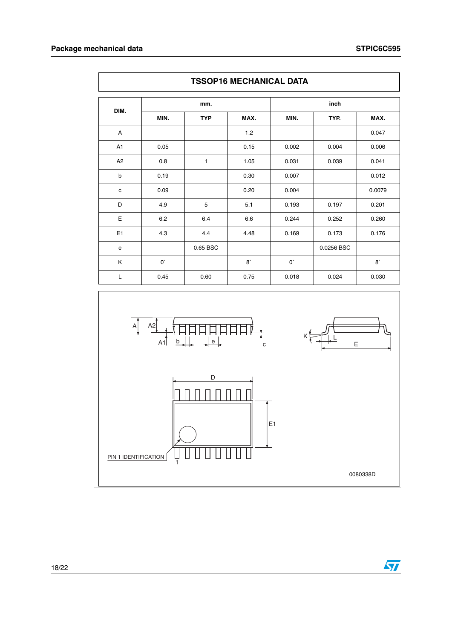|      | <b>TSSOP16 MECHANICAL DATA</b> |            |           |             |            |             |  |  |
|------|--------------------------------|------------|-----------|-------------|------------|-------------|--|--|
| DIM. |                                | mm.        |           |             |            |             |  |  |
|      | MIN.                           | <b>TYP</b> | MAX.      | MIN.        | TYP.       | MAX.        |  |  |
| A    |                                |            | 1.2       |             |            | 0.047       |  |  |
| A1   | 0.05                           |            | 0.15      | 0.002       | 0.004      | 0.006       |  |  |
| A2   | 0.8                            | 1          | 1.05      | 0.031       | 0.039      | 0.041       |  |  |
| b    | 0.19                           |            | 0.30      | 0.007       |            | 0.012       |  |  |
| c    | 0.09                           |            | 0.20      | 0.004       |            | 0.0079      |  |  |
| D    | 4.9                            | 5          | 5.1       | 0.193       | 0.197      | 0.201       |  |  |
| E    | 6.2                            | 6.4        | 6.6       | 0.244       | 0.252      | 0.260       |  |  |
| E1   | 4.3                            | 4.4        | 4.48      | 0.169       | 0.173      | 0.176       |  |  |
| e    |                                | 0.65 BSC   |           |             | 0.0256 BSC |             |  |  |
| K    | $0^{\circ}$                    |            | $8^\circ$ | $0^{\circ}$ |            | $8^{\circ}$ |  |  |
| Г    | 0.45                           | 0.60       | 0.75      | 0.018       | 0.024      | 0.030       |  |  |



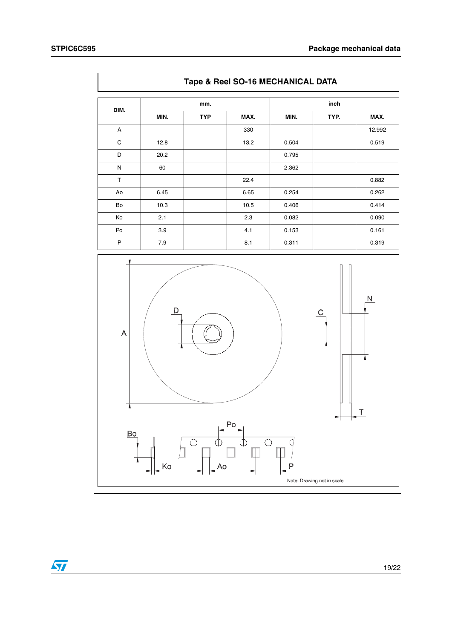|      | Tape & Reel SO-16 MECHANICAL DATA |            |      |       |      |        |  |  |  |
|------|-----------------------------------|------------|------|-------|------|--------|--|--|--|
|      |                                   | mm.        |      |       | inch |        |  |  |  |
| DIM. | MIN.                              | <b>TYP</b> | MAX. | MIN.  | TYP. | MAX.   |  |  |  |
| A    |                                   |            | 330  |       |      | 12.992 |  |  |  |
| C    | 12.8                              |            | 13.2 | 0.504 |      | 0.519  |  |  |  |
| D    | 20.2                              |            |      | 0.795 |      |        |  |  |  |
| N    | 60                                |            |      | 2.362 |      |        |  |  |  |
| T    |                                   |            | 22.4 |       |      | 0.882  |  |  |  |
| Ao   | 6.45                              |            | 6.65 | 0.254 |      | 0.262  |  |  |  |
| Bo   | 10.3                              |            | 10.5 | 0.406 |      | 0.414  |  |  |  |
| Ko   | 2.1                               |            | 2.3  | 0.082 |      | 0.090  |  |  |  |
| Po   | 3.9                               |            | 4.1  | 0.153 |      | 0.161  |  |  |  |
| P    | 7.9                               |            | 8.1  | 0.311 |      | 0.319  |  |  |  |



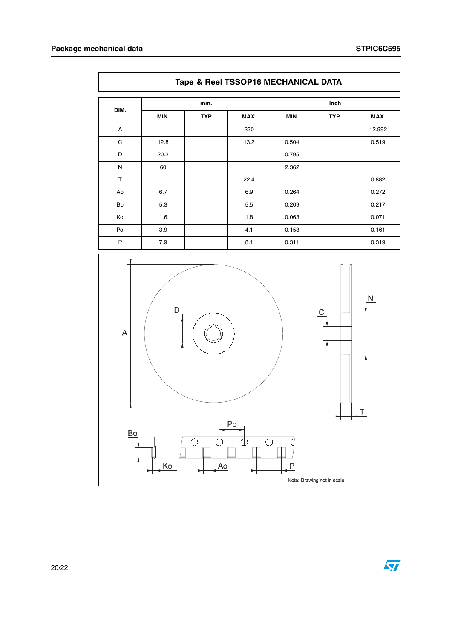|      | Tape & Reel TSSOP16 MECHANICAL DATA |            |      |       |      |        |  |  |
|------|-------------------------------------|------------|------|-------|------|--------|--|--|
| DIM. |                                     | mm.        |      | inch  |      |        |  |  |
|      | MIN.                                | <b>TYP</b> | MAX. | MIN.  | TYP. | MAX.   |  |  |
| A    |                                     |            | 330  |       |      | 12.992 |  |  |
| C    | 12.8                                |            | 13.2 | 0.504 |      | 0.519  |  |  |
| D    | 20.2                                |            |      | 0.795 |      |        |  |  |
| N    | 60                                  |            |      | 2.362 |      |        |  |  |
| T    |                                     |            | 22.4 |       |      | 0.882  |  |  |
| Ao   | 6.7                                 |            | 6.9  | 0.264 |      | 0.272  |  |  |
| Bo   | 5.3                                 |            | 5.5  | 0.209 |      | 0.217  |  |  |
| Ko   | 1.6                                 |            | 1.8  | 0.063 |      | 0.071  |  |  |
| Po   | 3.9                                 |            | 4.1  | 0.153 |      | 0.161  |  |  |
| P    | 7.9                                 |            | 8.1  | 0.311 |      | 0.319  |  |  |

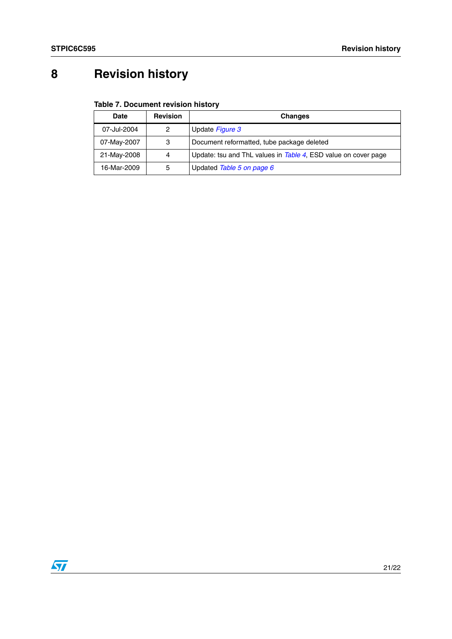# <span id="page-20-0"></span>**8 Revision history**

### **Table 7. Document revision history**

| Date        | <b>Revision</b> | <b>Changes</b>                                                 |
|-------------|-----------------|----------------------------------------------------------------|
| 07-Jul-2004 | 2               | Update Figure 3                                                |
| 07-May-2007 | 3               | Document reformatted, tube package deleted                     |
| 21-May-2008 | 4               | Update: tsu and ThL values in Table 4, ESD value on cover page |
| 16-Mar-2009 | 5               | Updated Table 5 on page 6                                      |